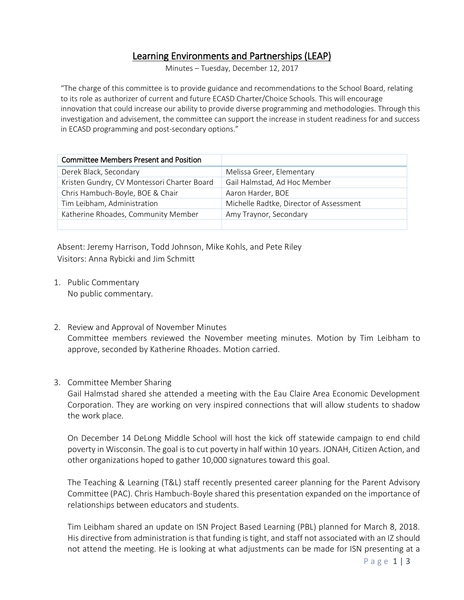## Learning Environments and Partnerships (LEAP)

Minutes – Tuesday, December 12, 2017

"The charge of this committee is to provide guidance and recommendations to the School Board, relating to its role as authorizer of current and future ECASD Charter/Choice Schools. This will encourage innovation that could increase our ability to provide diverse programming and methodologies. Through this investigation and advisement, the committee can support the increase in student readiness for and success in ECASD programming and post-secondary options."

| <b>Committee Members Present and Position</b> |                                         |
|-----------------------------------------------|-----------------------------------------|
| Derek Black, Secondary                        | Melissa Greer, Elementary               |
| Kristen Gundry, CV Montessori Charter Board   | Gail Halmstad, Ad Hoc Member            |
| Chris Hambuch-Boyle, BOE & Chair              | Aaron Harder, BOE                       |
| Tim Leibham, Administration                   | Michelle Radtke, Director of Assessment |
| Katherine Rhoades, Community Member           | Amy Traynor, Secondary                  |
|                                               |                                         |

Absent: Jeremy Harrison, Todd Johnson, Mike Kohls, and Pete Riley Visitors: Anna Rybicki and Jim Schmitt

- 1. Public Commentary No public commentary.
- 2. Review and Approval of November Minutes Committee members reviewed the November meeting minutes. Motion by Tim Leibham to approve, seconded by Katherine Rhoades. Motion carried.

## 3. Committee Member Sharing

Gail Halmstad shared she attended a meeting with the Eau Claire Area Economic Development Corporation. They are working on very inspired connections that will allow students to shadow the work place.

On December 14 DeLong Middle School will host the kick off statewide campaign to end child poverty in Wisconsin. The goal is to cut poverty in half within 10 years. JONAH, Citizen Action, and other organizations hoped to gather 10,000 signatures toward this goal.

The Teaching & Learning (T&L) staff recently presented career planning for the Parent Advisory Committee (PAC). Chris Hambuch-Boyle shared this presentation expanded on the importance of relationships between educators and students.

Tim Leibham shared an update on ISN Project Based Learning (PBL) planned for March 8, 2018. His directive from administration is that funding is tight, and staff not associated with an IZ should not attend the meeting. He is looking at what adjustments can be made for ISN presenting at a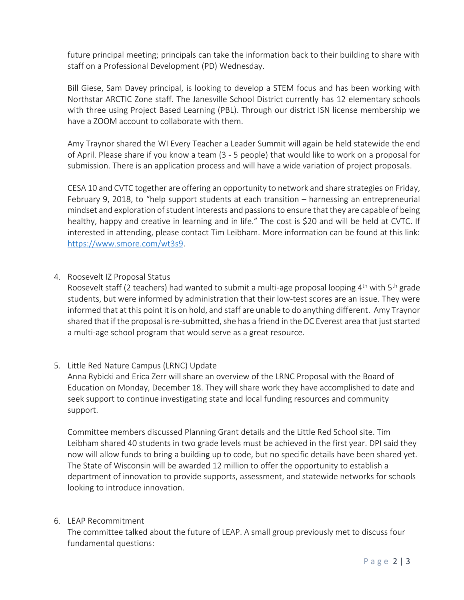future principal meeting; principals can take the information back to their building to share with staff on a Professional Development (PD) Wednesday.

Bill Giese, Sam Davey principal, is looking to develop a STEM focus and has been working with Northstar ARCTIC Zone staff. The Janesville School District currently has 12 elementary schools with three using Project Based Learning (PBL). Through our district ISN license membership we have a ZOOM account to collaborate with them.

Amy Traynor shared the WI Every Teacher a Leader Summit will again be held statewide the end of April. Please share if you know a team (3 - 5 people) that would like to work on a proposal for submission. There is an application process and will have a wide variation of project proposals.

CESA 10 and CVTC together are offering an opportunity to network and share strategies on Friday, February 9, 2018, to "help support students at each transition – harnessing an entrepreneurial mindset and exploration of student interests and passions to ensure that they are capable of being healthy, happy and creative in learning and in life." The cost is \$20 and will be held at CVTC. If interested in attending, please contact Tim Leibham. More information can be found at this link: [https://www.smore.com/wt3s9.](https://www.smore.com/wt3s9)

4. Roosevelt IZ Proposal Status

Roosevelt staff (2 teachers) had wanted to submit a multi-age proposal looping  $4<sup>th</sup>$  with  $5<sup>th</sup>$  grade students, but were informed by administration that their low-test scores are an issue. They were informed that at this point it is on hold, and staff are unable to do anything different. Amy Traynor shared that if the proposal is re-submitted, she has a friend in the DC Everest area that just started a multi-age school program that would serve as a great resource.

5. Little Red Nature Campus (LRNC) Update

Anna Rybicki and Erica Zerr will share an overview of the LRNC Proposal with the Board of Education on Monday, December 18. They will share work they have accomplished to date and seek support to continue investigating state and local funding resources and community support.

Committee members discussed Planning Grant details and the Little Red School site. Tim Leibham shared 40 students in two grade levels must be achieved in the first year. DPI said they now will allow funds to bring a building up to code, but no specific details have been shared yet. The State of Wisconsin will be awarded 12 million to offer the opportunity to establish a department of innovation to provide supports, assessment, and statewide networks for schools looking to introduce innovation.

6. LEAP Recommitment

The committee talked about the future of LEAP. A small group previously met to discuss four fundamental questions: